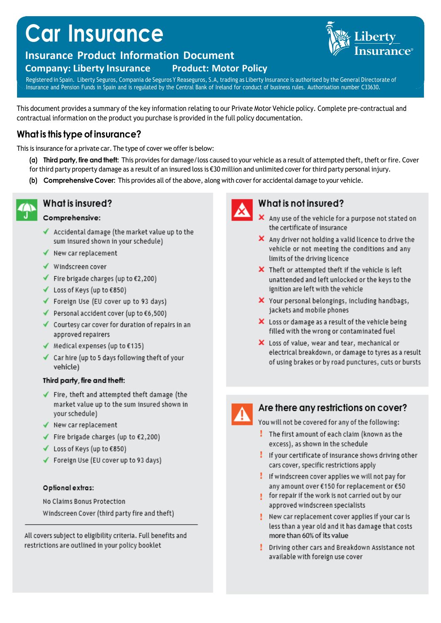# **Car Insurance**

## **Insurance Product Information Document**

#### **Company: Liberty Insurance Product: Motor Policy**

Registered in Spain. Liberty Seguros, Compania de Seguros Y Reaseguros, S.A, trading as Liberty Insurance is authorised by the General Directorate of Insurance and Pension Funds in Spain and is regulated by the Central Bank of Ireland for conduct of business rules. Authorisation number C33630.

This document provides a summary of the key information relating to our Private Motor Vehicle policy. Complete pre-contractual and contractual information on the product you purchase is provided in the full policy documentation.

## What is this type of insurance?

This is insurance for a private car. The type of cover we offer is below:

- (a) Third party, fire and theft: This provides for damage/loss caused to your vehicle as a result of attempted theft, theft or fire. Cover for third party property damage as a result of an insured loss is  $\epsilon$ 30 million and unlimited cover for third party personal injury.
- (b) Comprehensive Cover: This provides all of the above, along with cover for accidental damage to your vehicle.



## What is insured?

### Comprehensive:

- $\checkmark$  Accidental damage (the market value up to the sum insured shown in your schedule)
- $\checkmark$  New car replacement
- ✔ Windscreen cover
- Fire brigade charges (up to  $£2,200$ )
- ✔ Loss of Keys (up to €850)
- ✔ Foreign Use (EU cover up to 93 days)
- Personal accident cover (up to  $\epsilon$ 6,500)
- $\checkmark$  Courtesy car cover for duration of repairs in an approved repairers
- ◆ Medical expenses (up to  $€135)$
- $\checkmark$  Car hire (up to 5 days following theft of your vehicle)

#### Third party, fire and theft:

- $\checkmark$  Fire, theft and attempted theft damage (the market value up to the sum insured shown in your schedule)
- $\checkmark$  New car replacement
- Fire brigade charges (up to  $£2,200)$
- ✔ Loss of Keys (up to €850)
- ✔ Foreign Use (EU cover up to 93 days)

#### Optional extras:

No Claims Bonus Protection Windscreen Cover (third party fire and theft)

All covers subject to eligibility criteria. Full benefits and restrictions are outlined in your policy booklet



## What is not insured?

- X Any use of the vehicle for a purpose not stated on the certificate of insurance
- $\boldsymbol{\times}$  Any driver not holding a valid licence to drive the vehicle or not meeting the conditions and any limits of the driving licence
- X Theft or attempted theft if the vehicle is left unattended and left unlocked or the keys to the ignition are left with the vehicle
- X Your personal belongings, including handbags, jackets and mobile phones
- $\boldsymbol{\times}$  Loss or damage as a result of the vehicle being filled with the wrong or contaminated fuel
- X Loss of value, wear and tear, mechanical or electrical breakdown, or damage to tyres as a result of using brakes or by road punctures, cuts or bursts



## Are there any restrictions on cover?

You will not be covered for any of the following:

- The first amount of each claim (known as the excess), as shown in the schedule
- If your certificate of insurance shows driving other cars cover, specific restrictions apply
- $\frac{1}{2}$  If windscreen cover applies we will not pay for any amount over €150 for replacement or €50
- for repair if the work is not carried out by our ŧ. approved windscreen specialists
- New car replacement cover applies if your car is . less than a year old and it has damage that costs more than 60% of its value
- Driving other cars and Breakdown Assistance not ŧ. available with foreign use cover